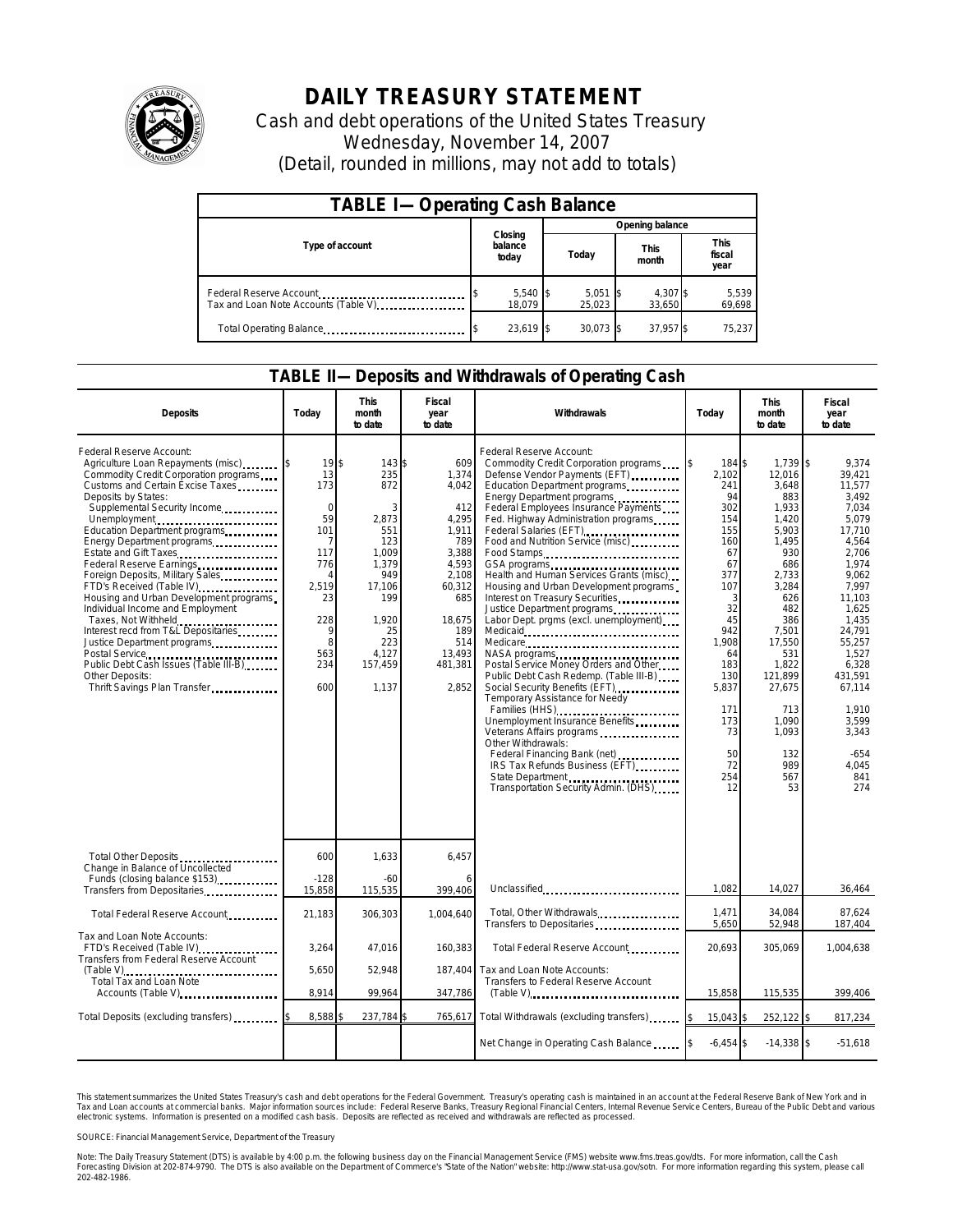

# **DAILY TREASURY STATEMENT**

Cash and debt operations of the United States Treasury Wednesday, November 14, 2007 (Detail, rounded in millions, may not add to totals)

| <b>TABLE I-Operating Cash Balance</b> |                             |                 |                      |                               |  |  |  |
|---------------------------------------|-----------------------------|-----------------|----------------------|-------------------------------|--|--|--|
|                                       |                             | Opening balance |                      |                               |  |  |  |
| Type of account                       | Closing<br>balance<br>today | Today           | <b>This</b><br>month | <b>This</b><br>fiscal<br>year |  |  |  |
| Tax and Loan Note Accounts (Table V)  | $5,540$ \$<br>18.079        | 5,051<br>25.023 | 4,307 \$<br>33,650   | 5,539<br>69,698               |  |  |  |
| Total Operating Balance               | 23,619 \$                   | $30.073$ \$     | 37,957 \$            | 75.237                        |  |  |  |

#### **TABLE II—Deposits and Withdrawals of Operating Cash**

| <b>Deposits</b>                                                                                                                                                                                                                                                                                                                                                                                                                                                                                                                                                                                                                                                      | Todav                                                                                                                                  | <b>This</b><br>month<br>to date                                                                                                        | <b>Fiscal</b><br>year<br>to date                                                                                                                        | Withdrawals                                                                                                                                                                                                                                                                                                                                                                                                                                                                                                                                                                                                                                                                                                                                                                                                                                                                                                                                                    | Today                                                                                                                                                                                         | <b>This</b><br>month<br>to date                                                                                                                                                                                                           | Fiscal<br>year<br>to date                                                                                                                                                                                                                                      |
|----------------------------------------------------------------------------------------------------------------------------------------------------------------------------------------------------------------------------------------------------------------------------------------------------------------------------------------------------------------------------------------------------------------------------------------------------------------------------------------------------------------------------------------------------------------------------------------------------------------------------------------------------------------------|----------------------------------------------------------------------------------------------------------------------------------------|----------------------------------------------------------------------------------------------------------------------------------------|---------------------------------------------------------------------------------------------------------------------------------------------------------|----------------------------------------------------------------------------------------------------------------------------------------------------------------------------------------------------------------------------------------------------------------------------------------------------------------------------------------------------------------------------------------------------------------------------------------------------------------------------------------------------------------------------------------------------------------------------------------------------------------------------------------------------------------------------------------------------------------------------------------------------------------------------------------------------------------------------------------------------------------------------------------------------------------------------------------------------------------|-----------------------------------------------------------------------------------------------------------------------------------------------------------------------------------------------|-------------------------------------------------------------------------------------------------------------------------------------------------------------------------------------------------------------------------------------------|----------------------------------------------------------------------------------------------------------------------------------------------------------------------------------------------------------------------------------------------------------------|
| Federal Reserve Account:<br>Agriculture Loan Repayments (misc)<br>Commodity Credit Corporation programs<br>Customs and Certain Excise Taxes<br>Deposits by States:<br>Supplemental Security Income<br>Unemployment<br>Education Department programs<br>Energy Department programs<br>Estate and Gift Taxes<br>Foreign Deposits, Military Sales<br>FTD's Received (Table IV)<br>Housing and Urban Development programs<br>Individual Income and Employment<br>Taxes, Not Withheld<br>Interest recd from T&L Depositaries<br>Justice Department programs<br>Postal Service<br>Public Debt Cash Issues (Table III-B)<br>Other Deposits:<br>Thrift Savings Plan Transfer | $19$ s<br>13<br>173<br>$\Omega$<br>59<br>101<br>7<br>117<br>776<br>$\overline{A}$<br>2,519<br>23<br>228<br>9<br>8<br>563<br>234<br>600 | 143S<br>235<br>872<br>2,873<br>551<br>123<br>1,009<br>1,379<br>949<br>17,106<br>199<br>1.920<br>25<br>223<br>4,127<br>157,459<br>1.137 | 609<br>1,374<br>4,042<br>412<br>4.295<br>1,911<br>789<br>3,388<br>4,593<br>2,108<br>60,312<br>685<br>18,675<br>189<br>514<br>13,493<br>481,381<br>2,852 | Federal Reserve Account:<br>Commodity Credit Corporation programs<br>Defense Vendor Payments (EFT)<br>Education Department programs<br>Energy Department programs<br>Federal Employees Insurance Payments<br>Fed. Highway Administration programs<br>Federal Salaries (EFT)<br>Food and Nutrition Service (misc)<br>Food Stamps<br>Health and Human Services Grants (misc)<br>Housing and Urban Development programs<br>Interest on Treasury Securities<br>Justice Department programs<br>Labor Dept. prgms (excl. unemployment)<br>Medicare<br>NASA programs<br>Postal Service Money Orders and Other<br>Public Debt Cash Redemp. (Table III-B)<br>Social Security Benefits (EFT)<br>Temporary Assistance for Needy<br>Families (HHS)<br>Unemployment Insurance Benefits<br>Veterans Affairs programs<br>Other Withdrawals:<br>Federal Financing Bank (net)<br><br>IRS Tax Refunds Business (EFT)<br>State Department<br>Transportation Security Admin. (DHS) | 184 \$<br>2.102<br>241<br>94<br>302<br>154<br>155<br>160<br>67<br>67<br>377<br>107<br>3<br>32<br>45<br>942<br>1,908<br>64<br>183<br>130<br>5,837<br>171<br>173<br>73<br>50<br>72<br>254<br>12 | $1.739$ \$<br>12.016<br>3,648<br>883<br>1,933<br>1,420<br>5,903<br>1.495<br>930<br>686<br>2,733<br>3,284<br>626<br>482<br>386<br>7,501<br>17,550<br>531<br>1,822<br>121,899<br>27,675<br>713<br>1,090<br>1,093<br>132<br>989<br>567<br>53 | 9.374<br>39,421<br>11,577<br>3.492<br>7.034<br>5.079<br>17,710<br>4.564<br>2,706<br>1.974<br>9,062<br>7.997<br>11.103<br>1.625<br>1,435<br>24,791<br>55,257<br>1,527<br>6,328<br>431.591<br>67,114<br>1,910<br>3,599<br>3,343<br>$-654$<br>4.045<br>841<br>274 |
| Total Other Deposits<br>Change in Balance of Uncollected<br>Funds (closing balance \$153)                                                                                                                                                                                                                                                                                                                                                                                                                                                                                                                                                                            | 600<br>$-128$                                                                                                                          | 1,633<br>$-60$                                                                                                                         | 6,457                                                                                                                                                   |                                                                                                                                                                                                                                                                                                                                                                                                                                                                                                                                                                                                                                                                                                                                                                                                                                                                                                                                                                |                                                                                                                                                                                               |                                                                                                                                                                                                                                           |                                                                                                                                                                                                                                                                |
| Transfers from Depositaries                                                                                                                                                                                                                                                                                                                                                                                                                                                                                                                                                                                                                                          | 15,858                                                                                                                                 | 115,535                                                                                                                                | 399,406                                                                                                                                                 | Unclassified                                                                                                                                                                                                                                                                                                                                                                                                                                                                                                                                                                                                                                                                                                                                                                                                                                                                                                                                                   | 1.082                                                                                                                                                                                         | 14,027                                                                                                                                                                                                                                    | 36,464                                                                                                                                                                                                                                                         |
| Total Federal Reserve Account                                                                                                                                                                                                                                                                                                                                                                                                                                                                                                                                                                                                                                        | 21,183                                                                                                                                 | 306,303                                                                                                                                | 1,004,640                                                                                                                                               | Total, Other Withdrawals<br>Transfers to Depositaries                                                                                                                                                                                                                                                                                                                                                                                                                                                                                                                                                                                                                                                                                                                                                                                                                                                                                                          | 1,471<br>5,650                                                                                                                                                                                | 34,084<br>52,948                                                                                                                                                                                                                          | 87,624<br>187,404                                                                                                                                                                                                                                              |
| Tax and Loan Note Accounts:<br>FTD's Received (Table IV)<br>Transfers from Federal Reserve Account                                                                                                                                                                                                                                                                                                                                                                                                                                                                                                                                                                   | 3,264                                                                                                                                  | 47,016                                                                                                                                 | 160,383                                                                                                                                                 | Total Federal Reserve Account                                                                                                                                                                                                                                                                                                                                                                                                                                                                                                                                                                                                                                                                                                                                                                                                                                                                                                                                  | 20,693                                                                                                                                                                                        | 305,069                                                                                                                                                                                                                                   | 1,004,638                                                                                                                                                                                                                                                      |
| Total Tax and Loan Note                                                                                                                                                                                                                                                                                                                                                                                                                                                                                                                                                                                                                                              | 5,650                                                                                                                                  | 52,948                                                                                                                                 | 187,404                                                                                                                                                 | Tax and Loan Note Accounts:<br>Transfers to Federal Reserve Account                                                                                                                                                                                                                                                                                                                                                                                                                                                                                                                                                                                                                                                                                                                                                                                                                                                                                            |                                                                                                                                                                                               |                                                                                                                                                                                                                                           |                                                                                                                                                                                                                                                                |
| Accounts (Table V)                                                                                                                                                                                                                                                                                                                                                                                                                                                                                                                                                                                                                                                   | 8,914<br>99.964<br>347,786                                                                                                             |                                                                                                                                        |                                                                                                                                                         | 15,858                                                                                                                                                                                                                                                                                                                                                                                                                                                                                                                                                                                                                                                                                                                                                                                                                                                                                                                                                         | 115,535                                                                                                                                                                                       | 399,406                                                                                                                                                                                                                                   |                                                                                                                                                                                                                                                                |
| Total Deposits (excluding transfers) [1000]                                                                                                                                                                                                                                                                                                                                                                                                                                                                                                                                                                                                                          | 8,588                                                                                                                                  | 237,784                                                                                                                                | 765,617                                                                                                                                                 | Total Withdrawals (excluding transfers)                                                                                                                                                                                                                                                                                                                                                                                                                                                                                                                                                                                                                                                                                                                                                                                                                                                                                                                        | 15,043 \$<br>I\$                                                                                                                                                                              | 252,122 \$                                                                                                                                                                                                                                | 817,234                                                                                                                                                                                                                                                        |
|                                                                                                                                                                                                                                                                                                                                                                                                                                                                                                                                                                                                                                                                      |                                                                                                                                        |                                                                                                                                        |                                                                                                                                                         | Net Change in Operating Cash Balance                                                                                                                                                                                                                                                                                                                                                                                                                                                                                                                                                                                                                                                                                                                                                                                                                                                                                                                           | $-6,454$ \$                                                                                                                                                                                   | $-14,338$ \$                                                                                                                                                                                                                              | $-51.618$                                                                                                                                                                                                                                                      |

This statement summarizes the United States Treasury's cash and debt operations for the Federal Government. Treasury's operating cash is maintained in an account at the Federal Reserve Bank of New York and in<br>Tax and Loan narizes the United States Treasury's cash and debt operations for the Federal Government. Treasury's operating cash is maintained in an account at the Federal Reserve Bank of New York and in<br>nts at commercial banks. Major

SOURCE: Financial Management Service, Department of the Treasury

Note: The Daily Treasury Statement (DTS) is available by 4:00 p.m. the following business day on the Financial Management Service (FMS) website www.fms.treas.gov/dts. For more information, call the Cash<br>Forecasting Divisio 202-482-1986.